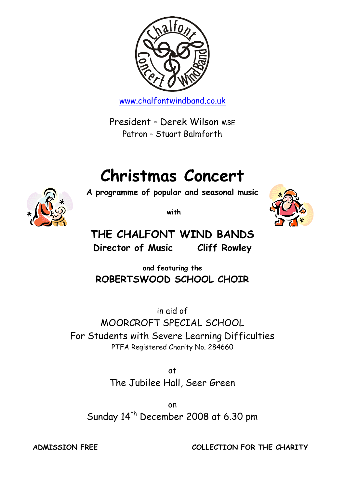

[www.chalfontwindband.co.uk](http://www.chalfontwindband.co.uk/)

President – Derek Wilson MBE Patron – Stuart Balmforth

# **Christmas Concert**

**A programme of popular and seasonal music**



**with**



**THE CHALFONT WIND BANDS Director of Music Cliff Rowley**

**and featuring the ROBERTSWOOD SCHOOL CHOIR**

in aid of MOORCROFT SPECIAL SCHOOL For Students with Severe Learning Difficulties PTFA Registered Charity No. 284660

> at The Jubilee Hall, Seer Green

on Sunday 14<sup>th</sup> December 2008 at 6.30 pm

**ADMISSION FREE COLLECTION FOR THE CHARITY**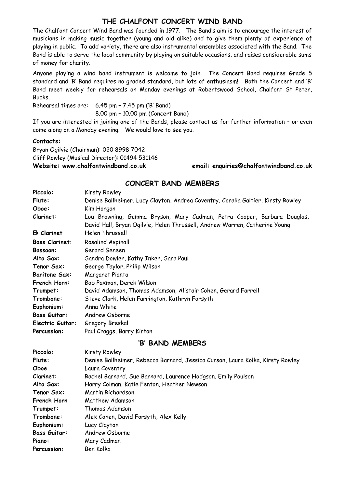### **THE CHALFONT CONCERT WIND BAND**

The Chalfont Concert Wind Band was founded in 1977. The Band's aim is to encourage the interest of musicians in making music together (young and old alike) and to give them plenty of experience of playing in public. To add variety, there are also instrumental ensembles associated with the Band. The Band is able to serve the local community by playing on suitable occasions, and raises considerable sums of money for charity.

Anyone playing a wind band instrument is welcome to join. The Concert Band requires Grade 5 standard and 'B' Band requires no graded standard, but lots of enthusiasm! Both the Concert and 'B' Band meet weekly for rehearsals on Monday evenings at Robertswood School, Chalfont St Peter, Bucks.

Rehearsal times are: 6.45 pm – 7.45 pm ('B' Band) 8.00 pm – 10.00 pm (Concert Band)

If you are interested in joining one of the Bands, please contact us for further information – or even come along on a Monday evening. We would love to see you.

#### **Contacts:**

Bryan Ogilvie (Chairman): 020 8998 7042 Cliff Rowley (Musical Director): 01494 531146

Piano: Mary Cadman Percussion: Ben Kolka

**Website: www.chalfontwindband.co.uk email: enquiries@chalfontwindband.co.uk** 

### **CONCERT BAND MEMBERS**

| Piccolo:              | Kirsty Rowley                                                                    |  |
|-----------------------|----------------------------------------------------------------------------------|--|
| Flute:                | Denise Ballheimer, Lucy Clayton, Andrea Coventry, Coralia Galtier, Kirsty Rowley |  |
| Oboe:                 | Kim Horgan                                                                       |  |
|                       |                                                                                  |  |
| Clarinet:             | Lou Browning, Gemma Bryson, Mary Cadman, Petra Cooper, Barbara Douglas,          |  |
|                       | David Hall, Bryan Ogilvie, Helen Thrussell, Andrew Warren, Catherine Young       |  |
| Eb Clarinet           | <b>Helen Thrussell</b>                                                           |  |
| <b>Bass Clarinet:</b> | Rosalind Aspinall                                                                |  |
| Bassoon:              | Gerard Geneen                                                                    |  |
| Alto Sax:             | Sandra Dowler, Kathy Inker, Sara Paul                                            |  |
| Tenor Sax:            | George Taylor, Philip Wilson                                                     |  |
| <b>Baritone Sax:</b>  | Margaret Pianta                                                                  |  |
| French Horn:          | Bob Paxman, Derek Wilson                                                         |  |
| Trumpet:              | David Adamson, Thomas Adamson, Alistair Cohen, Gerard Farrell                    |  |
| Trombone:             | Steve Clark, Helen Farrington, Kathryn Forsyth                                   |  |
| Euphonium:            | Anna White                                                                       |  |
| <b>Bass Guitar:</b>   | Andrew Osborne                                                                   |  |
| Electric Guitar:      | Gregory Breskal                                                                  |  |
| Percussion:           | Paul Craggs, Barry Kirton                                                        |  |
| 'B' BAND MEMBERS      |                                                                                  |  |
| Piccolo:              | Kirsty Rowley                                                                    |  |
| Flute:                | Denise Ballheimer, Rebecca Barnard, Jessica Curson, Laura Kolka, Kirsty Rowley   |  |
| Oboe                  | Laura Coventry                                                                   |  |
| Clarinet:             | Rachel Barnard, Sue Barnard, Laurence Hodgson, Emily Poulson                     |  |
| Alto Sax:             | Harry Colman, Katie Fenton, Heather Newson                                       |  |
| Tenor Sax:            | Martin Richardson                                                                |  |
| French Horn           | Matthew Adamson                                                                  |  |
| Trumpet:              | Thomas Adamson                                                                   |  |
| Trombone:             | Alex Conen, David Forsyth, Alex Kelly                                            |  |
| Euphonium:            | Lucy Clayton                                                                     |  |
| <b>Bass Guitar:</b>   | Andrew Osborne                                                                   |  |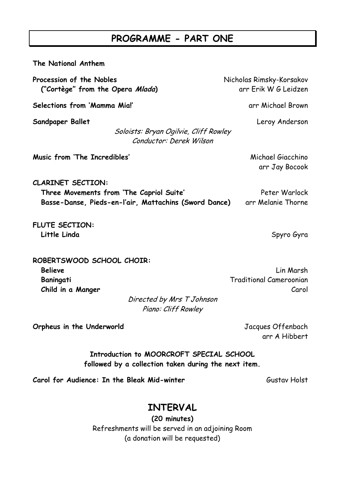# **PROGRAMME - PART ONE**

| The National Anthem                                                                                                               |                                                      |
|-----------------------------------------------------------------------------------------------------------------------------------|------------------------------------------------------|
| Procession of the Nobles<br>("Cortège" from the Opera Mlada)                                                                      | Nicholas Rimsky-Korsakov<br>arr Erik W G Leidzen     |
| Selections from 'Mamma Mia!'                                                                                                      | arr Michael Brown                                    |
| Sandpaper Ballet<br>Soloists: Bryan Ogilvie, Cliff Rowley<br>Conductor: Derek Wilson                                              | Leroy Anderson                                       |
| Music from 'The Incredibles'                                                                                                      | Michael Giacchino<br>arr Jay Bocook                  |
| <b>CLARINET SECTION:</b><br>Three Movements from 'The Capriol Suite'<br>Basse-Danse, Pieds-en-l'air, Mattachins (Sword Dance)     | Peter Warlock<br>arr Melanie Thorne                  |
| <b>FLUTE SECTION:</b><br>Little Linda                                                                                             | Spyro Gyra                                           |
| ROBERTSWOOD SCHOOL CHOIR:<br><b>Believe</b><br>Baningati<br>Child in a Manger<br>Directed by Mrs T Johnson<br>Piano: Cliff Rowley | Lin Marsh<br><b>Traditional Cameroonian</b><br>Carol |
| Orpheus in the Underworld                                                                                                         | Jacques Offenbach<br>arr A Hibbert                   |

**Introduction to MOORCROFT SPECIAL SCHOOL followed by a collection taken during the next item.**

**Carol for Audience: In the Bleak Mid-winter** Gustav Holst Gustav Holst

# **INTERVAL**

**(20 minutes)** Refreshments will be served in an adjoining Room (a donation will be requested)